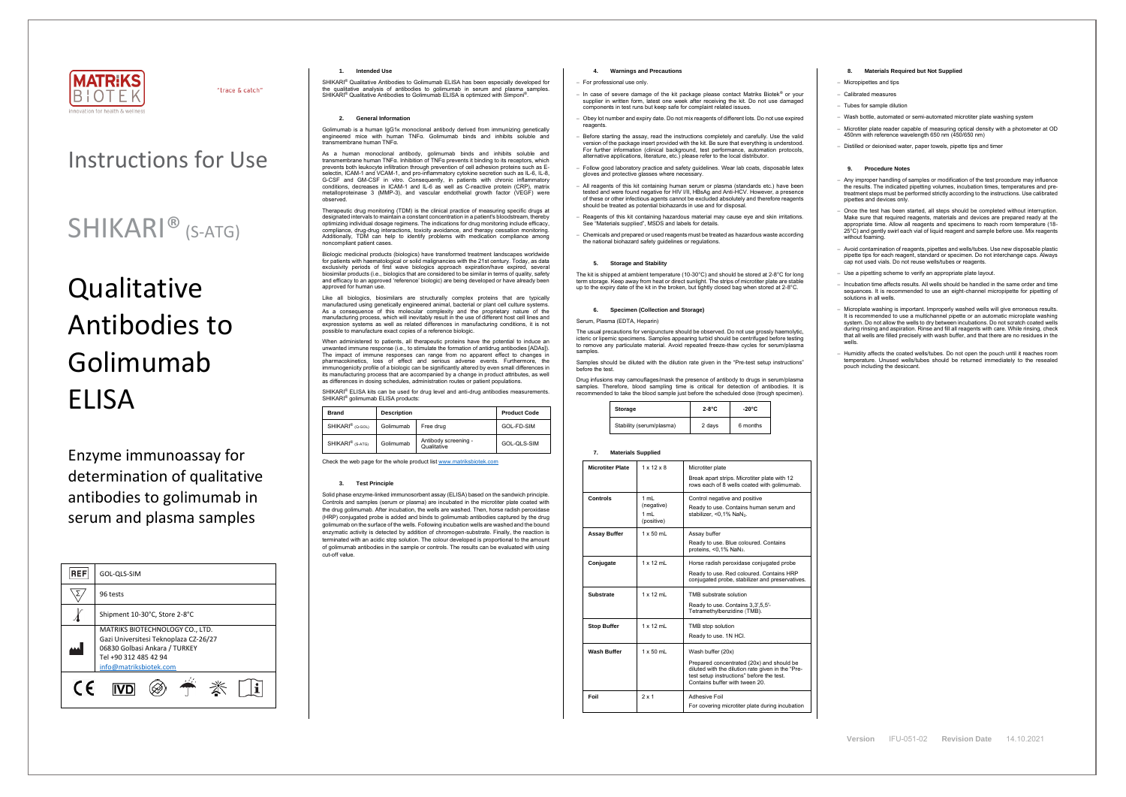

"trace & catch"

## Instructions for Use

# **Qualitative** Antibodies to Golimumab ELISA

## SHIKARI® (S-ATG)

Enzyme immunoassay for determination of qualitative antibodies to golimumab in serum and plasma samples

| <b>REF</b> | GOL-QLS-SIM                                                                                                                                                  |  |  |
|------------|--------------------------------------------------------------------------------------------------------------------------------------------------------------|--|--|
|            | 96 tests                                                                                                                                                     |  |  |
|            | Shipment 10-30°C, Store 2-8°C                                                                                                                                |  |  |
|            | MATRIKS BIOTECHNOLOGY CO., LTD.<br>Gazi Universitesi Teknoplaza CZ-26/27<br>06830 Golbasi Ankara / TURKEY<br>Tel +90 312 485 42 94<br>info@matriksbiotek.com |  |  |
|            |                                                                                                                                                              |  |  |

Golimumab is a human IgG1κ monoclonal antibody derived from immunizing genetically engineered mice with human TNFα. Golimumab binds and inhibits soluble and  $\frac{1}{100}$ nsmembrane human TNF $\alpha$ 

## **1. Intended Use**

SHIKARI® Qualitative Antibodies to Golimumab ELISA has been especially developed for the qualitative analysis of antibodies to golimumab in serum and plasma samples. SHIKARI<sup>®</sup> Qualitative Antibodies to Golimumab ELISA is optimized with Simponi<sup>®</sup> .

## **2. General Information**

As a human monoclonal antibody, golimumab binds and inhibits soluble and transmembrane human TNFα. Inhibition of TNFα prevents it binding to its receptors, which prevents both leukocyte infiltration through prevention of cell adhesion proteins such as E-selectin, ICAM-1 and VCAM-1, and pro-inflammatory cytokine secretion such as IL-6, IL-8, G-CSF and GM-CSF in vitro. Consequently, in patients with chronic inflammatory conditions, decreases in ICAM-1 and IL-6 as well as C-reactive protein (CRP), matrix metalloproteinase 3 (MMP-3), and vascular endothelial growth factor (VEGF) were observed.

Therapeutic drug monitoring (TDM) is the clinical practice of measuring specific drugs at designated intervals to maintain a constant concentration in a patient's bloodstream, thereby optimizing individual dosage regimens. The indications for drug monitoring include efficacy, compliance, drug-drug interactions, toxicity avoidance, and therapy cessation monitoring. Additionally, TDM can help to identify problems with medication compliance among noncompliant patient cases.

When administered to patients, all therapeutic proteins have the potential to induce a unwanted immune response (i.e., to stimulate the formation of antidrug antibodies [ADAs]). The impact of immune responses can range from no apparent effect to changes in pharmacokinetics, loss of effect and serious adverse events. Furthermore, the immunogenicity profile of a biologic can be significantly altered by even small differences in its manufacturing process that are accompanied by a change in product attributes, as well as differences in dosing schedules, administration routes or patient populations.

SHIKARI® ELISA kits can be used for drug level and anti-drug antibodies measurements. SHIKARI® golimumab ELISA products:

Biologic medicinal products (biologics) have transformed treatment landscapes worldwide for patients with haematological or solid malignancies with the 21st century. Today, as data exclusivity periods of first wave biologics approach expiration/have expired, several biosimilar products (i.e., biologics that are considered to be similar in terms of quality, safety and efficacy to an approved 'reference' biologic) are being developed or have already been approved for human use.

Like all biologics, biosimilars are structurally complex proteins that are typically manufactured using genetically engineered animal, bacterial or plant cell culture systems. As a consequence of this molecular complexity and the proprietary nature of the manufacturing process, which will inevitably result in the use of different host cell lines and expression systems as well as related differences in manufacturing conditions, it is not possible to manufacture exact copies of a reference biologic.

The usual precautions for venipuncture should be observed. Do not use grossly haemolytic, icteric or lipemic specimens. Samples appearing turbid should be centrifuged before testing to remove any particulate material. Avoid repeated freeze-thaw cycles for serum/plasma samples

| <b>Brand</b>                 | <b>Description</b> |                                     | <b>Product Code</b> |
|------------------------------|--------------------|-------------------------------------|---------------------|
| SHIKARI <sup>®</sup> (Q-GOL) | Golimumab          | Free drug                           | GOL-FD-SIM          |
| SHIKARI <sup>®</sup> (S-ATG) | Golimumab          | Antibody screening -<br>Qualitative | GOL-QLS-SIM         |

Check the web page for the whole product lis[t www.matriksbiotek.com](http://www.matriksbiotek.com/)

### **3. Test Principle**

Solid phase enzyme-linked immunosorbent assay (ELISA) based on the sandwich principle. Controls and samples (serum or plasma) are incubated in the microtiter plate coated with the drug golimumab. After incubation, the wells are washed. Then, horse radish peroxidase (HRP) conjugated probe is added and binds to golimumab antibodies captured by the drug golimumab on the surface of the wells. Following incubation wells are washed and the bound enzymatic activity is detected by addition of chromogen-substrate. Finally, the reaction is terminated with an acidic stop solution. The colour developed is proportional to the amount of golimumab antibodies in the sample or controls. The results can be evaluated with using cut-off value.

Any improper handling of samples or modification of the test procedure may influence the results. The indicated pipetting volumes, incubation times, temperatures and pretreatment steps must be performed strictly according to the instructions. Use calibrated pipettes and devices only.

− Once the test has been started, all steps should be completed without interruption. Make sure that required reagents, materials and devices are prepared ready at the appropriate time. Allow all reagents and specimens to reach room temperature (18- 25°C) and gently swirl each vial of liquid reagent and sample before use. Mix reagents without foaming.

#### **4. Warnings and Precautions**

#### − For professional use only.

- − In case of severe damage of the kit package please contact Matriks Biotek® or your supplier in written form, latest one week after receiving the kit. Do not use damaged components in test runs but keep safe for complaint related issues.
- − Obey lot number and expiry date. Do not mix reagents of different lots. Do not use expired reagents
- Before starting the assay, read the instructions completely and carefully. Use the valid version of the package insert provided with the kit. Be sure that everything is understood. For further information (clinical background, test performance, automation protocols, alternative applications, literature, etc.) please refer to the local distributor.
- − Follow good laboratory practice and safety guidelines. Wear lab coats, disposable latex gloves and protective glasses where necessary.
- All reagents of this kit containing human serum or plasma (standards etc.) have been tested and were found negative for HIV I/II, HBsAg and Anti-HCV. However, a presence of these or other infectious agents cannot be excluded absolutely and therefore reagents should be treated as potential biohazards in use and for disposal.
- − Reagents of this kit containing hazardous material may cause eye and skin irritations. See "Materials supplied", MSDS and labels for details.
- − Chemicals and prepared or used reagents must be treated as hazardous waste according the national biohazard safety guidelines or regulations.

## **5. Storage and Stability**

The kit is shipped at ambient temperature (10-30°C) and should be stored at 2-8°C for long term storage. Keep away from heat or direct sunlight. The strips of microtiter plate are stable up to the expiry date of the kit in the broken, but tightly closed bag when stored at 2-8°C.

### **6. Specimen (Collection and Storage)**

#### Serum, Plasma (EDTA, Heparin)

Samples should be diluted with the dilution rate given in the "Pre-test setup instructions" before the test.

Drug infusions may camouflages/mask the presence of antibody to drugs in serum/plasma samples. Therefore, blood sampling time is critical for detection of antibodies. It is recommended to take the blood sample just before the scheduled dose (trough specimen).

| Storage                  | $2-8$ °C | $-20^{\circ}$ C |  |
|--------------------------|----------|-----------------|--|
| Stability (serum/plasma) | 2 days   | 6 months        |  |

#### **7. Materials Supplied**

| <b>Microtiter Plate</b> | $1 \times 12 \times 8$                    | Microtiter plate                                                                                                                                                                                   |  |
|-------------------------|-------------------------------------------|----------------------------------------------------------------------------------------------------------------------------------------------------------------------------------------------------|--|
|                         |                                           | Break apart strips. Microtiter plate with 12<br>rows each of 8 wells coated with golimumab.                                                                                                        |  |
| <b>Controls</b>         | 1 mL<br>(negative)<br>$1$ m<br>(positive) | Control negative and positive<br>Ready to use. Contains human serum and<br>stabilizer, <0,1% NaN <sub>3</sub> .                                                                                    |  |
| <b>Assay Buffer</b>     | $1 \times 50$ mL                          | Assay buffer<br>Ready to use. Blue coloured. Contains<br>proteins, <0,1% NaN <sub>3</sub> .                                                                                                        |  |
| Conjugate               | $1 \times 12$ ml                          | Horse radish peroxidase conjugated probe<br>Ready to use. Red coloured. Contains HRP<br>conjugated probe, stabilizer and preservatives.                                                            |  |
| <b>Substrate</b>        | $1 \times 12$ ml                          | TMB substrate solution<br>Ready to use. Contains 3,3',5,5'-<br>Tetramethylbenzidine (TMB).                                                                                                         |  |
| <b>Stop Buffer</b>      | $1 \times 12$ ml                          | TMB stop solution<br>Ready to use. 1N HCI.                                                                                                                                                         |  |
| <b>Wash Buffer</b>      | $1 \times 50$ mL                          | Wash buffer (20x)<br>Prepared concentrated (20x) and should be<br>diluted with the dilution rate given in the "Pre-<br>test setup instructions" before the test.<br>Contains buffer with tween 20. |  |
| Foil                    | 2x1                                       | Adhesive Foil<br>For covering microtiter plate during incubation                                                                                                                                   |  |

## **8. Materials Required but Not Supplied**

− Micropipettes and tips

− Calibrated measures

− Tubes for sample dilution

− Wash bottle, automated or semi-automated microtiter plate washing system

− Microtiter plate reader capable of measuring optical density with a photometer at OD 450nm with reference wavelength 650 nm (450/650 nm)

− Distilled or deionised water, paper towels, pipette tips and timer

## **9. Procedure Notes**

− Avoid contamination of reagents, pipettes and wells/tubes. Use new disposable plastic pipette tips for each reagent, standard or specimen. Do not interchange caps. Always cap not used vials. Do not reuse wells/tubes or reagents.

− Use a pipetting scheme to verify an appropriate plate layout.

− Incubation time affects results. All wells should be handled in the same order and time sequences. It is recommended to use an eight-channel micropipette for pipetting of solutions in all wells.

− Microplate washing is important. Improperly washed wells will give erroneous results. It is recommended to use a multichannel pipette or an automatic microplate washing system. Do not allow the wells to dry between incubations. Do not scratch coated wells during rinsing and aspiration. Rinse and fill all reagents with care. While rinsing, check that all wells are filled precisely with wash buffer, and that there are no residues in the wells.

− Humidity affects the coated wells/tubes. Do not open the pouch until it reaches room temperature. Unused wells/tubes should be returned immediately to the resealed pouch including the desiccant.